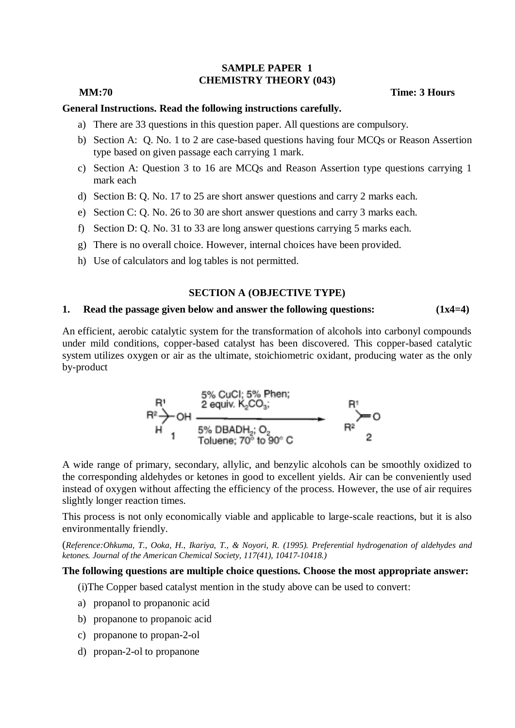### **SAMPLE PAPER 1 CHEMISTRY THEORY (043)**

#### **MM:70 Time: 3 Hours**

## **General Instructions. Read the following instructions carefully.**

- a) There are 33 questions in this question paper. All questions are compulsory.
- b) Section A: Q. No. 1 to 2 are case-based questions having four MCQs or Reason Assertion type based on given passage each carrying 1 mark.
- c) Section A: Question 3 to 16 are MCQs and Reason Assertion type questions carrying 1 mark each
- d) Section B: Q. No. 17 to 25 are short answer questions and carry 2 marks each.
- e) Section C: Q. No. 26 to 30 are short answer questions and carry 3 marks each.
- f) Section D: Q. No. 31 to 33 are long answer questions carrying 5 marks each.
- g) There is no overall choice. However, internal choices have been provided.
- h) Use of calculators and log tables is not permitted.

#### **SECTION A (OBJECTIVE TYPE)**

## **1. Read the passage given below and answer the following questions: (1x4=4)**

An efficient, aerobic catalytic system for the transformation of alcohols into carbonyl compounds under mild conditions, copper-based catalyst has been discovered. This copper-based catalytic system utilizes oxygen or air as the ultimate, stoichiometric oxidant, producing water as the only by-product



A wide range of primary, secondary, allylic, and benzylic alcohols can be smoothly oxidized to the corresponding aldehydes or ketones in good to excellent yields. Air can be conveniently used instead of oxygen without affecting the efficiency of the process. However, the use of air requires slightly longer reaction times.

This process is not only economically viable and applicable to large-scale reactions, but it is also environmentally friendly.

(*Reference:Ohkuma, T., Ooka, H., Ikariya, T., & Noyori, R. (1995). Preferential hydrogenation of aldehydes and ketones. Journal of the American Chemical Society, 117(41), 10417-10418.)*

## **The following questions are multiple choice questions. Choose the most appropriate answer:**

(i)The Copper based catalyst mention in the study above can be used to convert:

- a) propanol to propanonic acid
- b) propanone to propanoic acid
- c) propanone to propan-2-ol
- d) propan-2-ol to propanone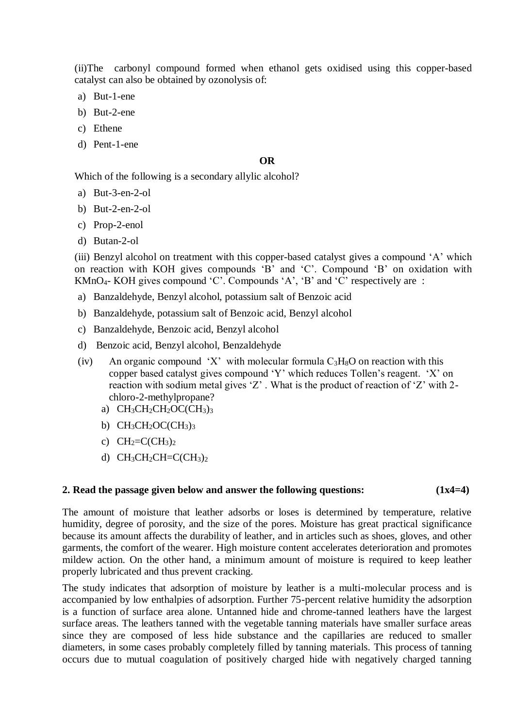(ii)The carbonyl compound formed when ethanol gets oxidised using this copper-based catalyst can also be obtained by ozonolysis of:

- a) But-1-ene
- b) But-2-ene
- c) Ethene
- d) Pent-1-ene

## **OR**

Which of the following is a secondary allylic alcohol?

- a) But-3-en-2-ol
- b) But-2-en-2-ol
- c) Prop-2-enol
- d) Butan-2-ol

(iii) Benzyl alcohol on treatment with this copper-based catalyst gives a compound 'A' which on reaction with KOH gives compounds 'B' and 'C'. Compound 'B' on oxidation with KMnO4- KOH gives compound 'C'. Compounds 'A', 'B' and 'C' respectively are :

- a) Banzaldehyde, Benzyl alcohol, potassium salt of Benzoic acid
- b) Banzaldehyde, potassium salt of Benzoic acid, Benzyl alcohol
- c) Banzaldehyde, Benzoic acid, Benzyl alcohol
- d) Benzoic acid, Benzyl alcohol, Benzaldehyde
- (iv) An organic compound 'X' with molecular formula  $C_3H_8O$  on reaction with this copper based catalyst gives compound 'Y' which reduces Tollen's reagent. 'X' on reaction with sodium metal gives 'Z' . What is the product of reaction of 'Z' with 2 chloro-2-methylpropane?
	- a)  $CH<sub>3</sub>CH<sub>2</sub>CH<sub>2</sub>OC(CH<sub>3</sub>)<sub>3</sub>$
	- b)  $CH<sub>3</sub>CH<sub>2</sub>OC(CH<sub>3</sub>)<sub>3</sub>$
	- c)  $CH_2=C(CH_3)_2$
	- d)  $CH<sub>3</sub>CH<sub>2</sub>CH=C(CH<sub>3</sub>)<sub>2</sub>$

## **2. Read the passage given below and answer the following questions: (1x4=4)**

The amount of moisture that leather adsorbs or loses is determined by temperature, relative humidity, degree of porosity, and the size of the pores. Moisture has great practical significance because its amount affects the durability of leather, and in articles such as shoes, gloves, and other garments, the comfort of the wearer. High moisture content accelerates deterioration and promotes mildew action. On the other hand, a minimum amount of moisture is required to keep leather properly lubricated and thus prevent cracking.

The study indicates that adsorption of moisture by leather is a multi-molecular process and is accompanied by low enthalpies of adsorption. Further 75-percent relative humidity the adsorption is a function of surface area alone. Untanned hide and chrome-tanned leathers have the largest surface areas. The leathers tanned with the vegetable tanning materials have smaller surface areas since they are composed of less hide substance and the capillaries are reduced to smaller diameters, in some cases probably completely filled by tanning materials. This process of tanning occurs due to mutual coagulation of positively charged hide with negatively charged tanning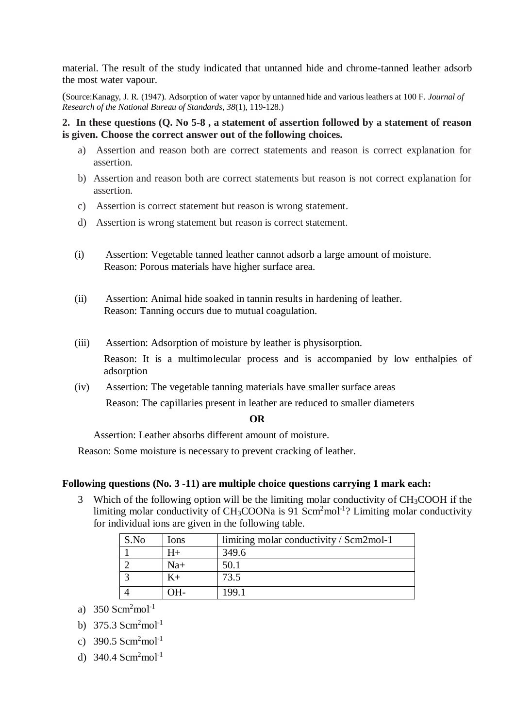material. The result of the study indicated that untanned hide and chrome-tanned leather adsorb the most water vapour.

(Source:Kanagy, J. R. (1947). Adsorption of water vapor by untanned hide and various leathers at 100 F. *Journal of Research of the National Bureau of Standards*, *38*(1), 119-128.)

**2. In these questions (Q. No 5-8 , a statement of assertion followed by a statement of reason is given. Choose the correct answer out of the following choices.**

- a) Assertion and reason both are correct statements and reason is correct explanation for assertion.
- b) Assertion and reason both are correct statements but reason is not correct explanation for assertion.
- c) Assertion is correct statement but reason is wrong statement.
- d) Assertion is wrong statement but reason is correct statement.
- (i) Assertion: Vegetable tanned leather cannot adsorb a large amount of moisture. Reason: Porous materials have higher surface area.
- (ii) Assertion: Animal hide soaked in tannin results in hardening of leather. Reason: Tanning occurs due to mutual coagulation.
- (iii) Assertion: Adsorption of moisture by leather is physisorption.

Reason: It is a multimolecular process and is accompanied by low enthalpies of adsorption

(iv) Assertion: The vegetable tanning materials have smaller surface areas

Reason: The capillaries present in leather are reduced to smaller diameters

## **OR**

Assertion: Leather absorbs different amount of moisture.

Reason: Some moisture is necessary to prevent cracking of leather.

## **Following questions (No. 3 -11) are multiple choice questions carrying 1 mark each:**

Which of the following option will be the limiting molar conductivity of  $CH<sub>3</sub>COOH$  if the limiting molar conductivity of  $CH<sub>3</sub>COONa$  is 91 Scm<sup>2</sup>mol<sup>-1</sup>? Limiting molar conductivity for individual ions are given in the following table.

| S.No | Ions  | limiting molar conductivity / Scm2mol-1 |  |
|------|-------|-----------------------------------------|--|
|      |       | 349.6                                   |  |
|      | $Na+$ | 50.1                                    |  |
|      | $K+$  | 73.5                                    |  |
|      |       | 199.1                                   |  |

- a)  $350$  Scm<sup>2</sup>mol<sup>-1</sup>
- b)  $375.3$  Scm<sup>2</sup>mol<sup>-1</sup>
- c) 390.5  $Scm<sup>2</sup>mol<sup>-1</sup>$
- d)  $340.4$  Scm<sup>2</sup>mol<sup>-1</sup>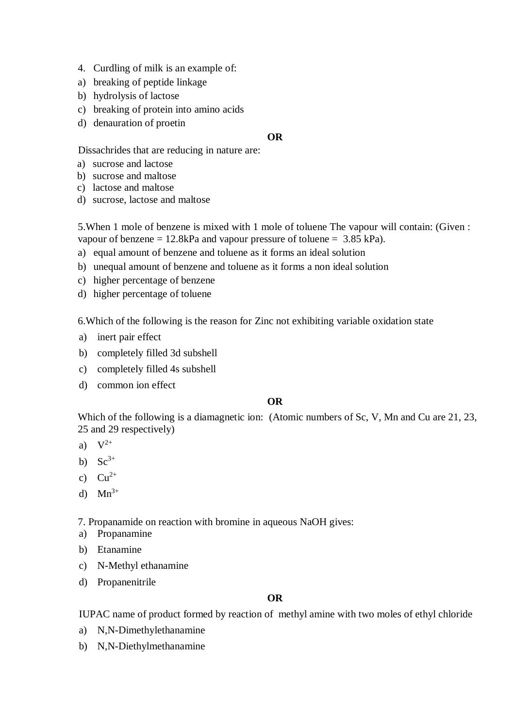- 4. Curdling of milk is an example of:
- a) breaking of peptide linkage
- b) hydrolysis of lactose
- c) breaking of protein into amino acids
- d) denauration of proetin

## **OR**

Dissachrides that are reducing in nature are:

- a) sucrose and lactose
- b) sucrose and maltose
- c) lactose and maltose
- d) sucrose, lactose and maltose

5.When 1 mole of benzene is mixed with 1 mole of toluene The vapour will contain: (Given : vapour of benzene =  $12.8kPa$  and vapour pressure of toluene =  $3.85 kPa$ ).

- a) equal amount of benzene and toluene as it forms an ideal solution
- b) unequal amount of benzene and toluene as it forms a non ideal solution
- c) higher percentage of benzene
- d) higher percentage of toluene

6.Which of the following is the reason for Zinc not exhibiting variable oxidation state

- a) inert pair effect
- b) completely filled 3d subshell
- c) completely filled 4s subshell
- d) common ion effect

## **OR**

Which of the following is a diamagnetic ion: (Atomic numbers of Sc, V, Mn and Cu are 21, 23, 25 and 29 respectively)

- a)  $V^{2+}$
- b)  $Sc^{3+}$
- c)  $Cu^{2+}$
- d)  $Mn^{3+}$

7. Propanamide on reaction with bromine in aqueous NaOH gives:

- a) Propanamine
- b) Etanamine
- c) N-Methyl ethanamine
- d) Propanenitrile

## **OR**

IUPAC name of product formed by reaction of methyl amine with two moles of ethyl chloride

- a) N,N-Dimethylethanamine
- b) N,N-Diethylmethanamine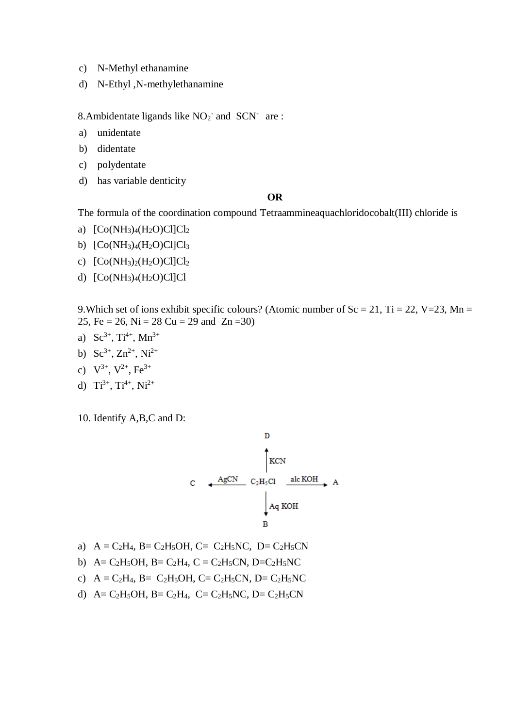- c) N-Methyl ethanamine
- d) N-Ethyl ,N-methylethanamine

8. Ambidentate ligands like  $NO<sub>2</sub>$  and  $SCN<sub>-</sub>$  are:

- a) unidentate
- b) didentate
- c) polydentate
- d) has variable denticity

#### **OR**

The formula of the coordination compound Tetraammineaquachloridocobalt(III) chloride is

- a)  $[Co(NH_3)_4(H_2O)Cl]Cl_2$
- b)  $[Co(NH<sub>3</sub>)<sub>4</sub>(H<sub>2</sub>O)Cl]Cl<sub>3</sub>$
- c)  $[Co(NH<sub>3</sub>)<sub>2</sub>(H<sub>2</sub>O)Cl]Cl<sub>2</sub>$
- d) [Co(NH3)4(H2O)Cl]Cl

9. Which set of ions exhibit specific colours? (Atomic number of  $Sc = 21$ ,  $Ti = 22$ ,  $V=23$ ,  $Mn =$ 25, Fe = 26, Ni = 28 Cu = 29 and Zn = 30)

- a)  $Sc^{3+}$ ,  $Ti^{4+}$ ,  $Mn^{3+}$
- b)  $Sc^{3+}$ ,  $Zn^{2+}$ ,  $Ni^{2+}$
- c)  $V^{3+}$ ,  $V^{2+}$ ,  $Fe^{3+}$
- d)  $Ti^{3+}$ ,  $Ti^{4+}$ ,  $Ni^{2+}$

10. Identify A,B,C and D:



- a)  $A = C_2H_4$ ,  $B = C_2H_5OH$ ,  $C = C_2H_5NC$ ,  $D = C_2H_5CN$
- b) A= C<sub>2</sub>H<sub>5</sub>OH, B= C<sub>2</sub>H<sub>4</sub>, C = C<sub>2</sub>H<sub>5</sub>CN, D=C<sub>2</sub>H<sub>5</sub>NC
- c)  $A = C_2H_4$ ,  $B = C_2H_5OH$ ,  $C = C_2H_5CN$ ,  $D = C_2H_5NC$
- d)  $A = C_2H_5OH$ ,  $B = C_2H_4$ ,  $C = C_2H_5NC$ ,  $D = C_2H_5CN$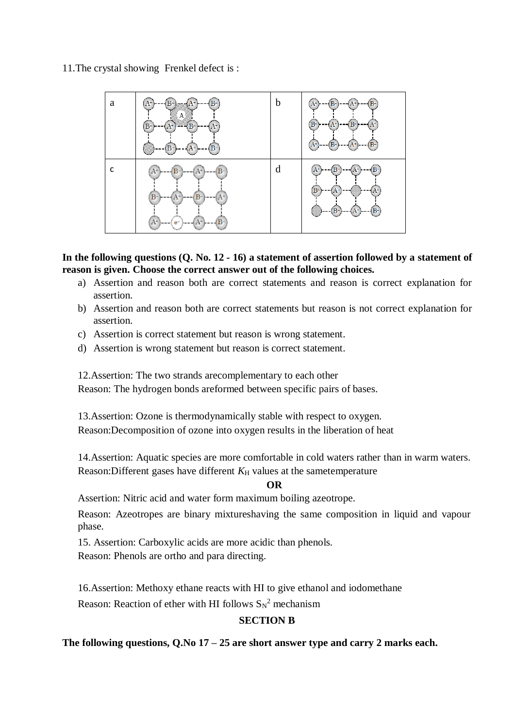11.The crystal showing Frenkel defect is :



## **In the following questions (Q. No. 12 - 16) a statement of assertion followed by a statement of reason is given. Choose the correct answer out of the following choices.**

- a) Assertion and reason both are correct statements and reason is correct explanation for assertion.
- b) Assertion and reason both are correct statements but reason is not correct explanation for assertion.
- c) Assertion is correct statement but reason is wrong statement.
- d) Assertion is wrong statement but reason is correct statement.

12.Assertion: The two strands arecomplementary to each other

Reason: The hydrogen bonds areformed between specific pairs of bases.

13.Assertion: Ozone is thermodynamically stable with respect to oxygen. Reason:Decomposition of ozone into oxygen results in the liberation of heat

14.Assertion: Aquatic species are more comfortable in cold waters rather than in warm waters. Reason: Different gases have different  $K_H$  values at the sametemperature

**OR**

Assertion: Nitric acid and water form maximum boiling azeotrope.

Reason: Azeotropes are binary mixtureshaving the same composition in liquid and vapour phase.

15. Assertion: Carboxylic acids are more acidic than phenols. Reason: Phenols are ortho and para directing.

16.Assertion: Methoxy ethane reacts with HI to give ethanol and iodomethane

Reason: Reaction of ether with HI follows  $S_N^2$  mechanism

# **SECTION B**

**The following questions, Q.No 17 – 25 are short answer type and carry 2 marks each.**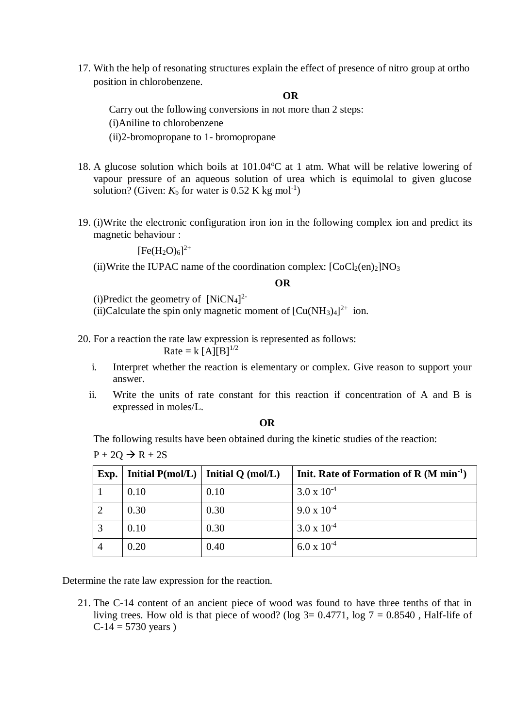17. With the help of resonating structures explain the effect of presence of nitro group at ortho position in chlorobenzene.

**OR**

Carry out the following conversions in not more than 2 steps: (i)Aniline to chlorobenzene (ii)2-bromopropane to 1- bromopropane

- 18. A glucose solution which boils at  $101.04^{\circ}$ C at 1 atm. What will be relative lowering of vapour pressure of an aqueous solution of urea which is equimolal to given glucose solution? (Given:  $K_b$  for water is 0.52 K kg mol<sup>-1</sup>)
- 19. (i)Write the electronic configuration iron ion in the following complex ion and predict its magnetic behaviour :

 $[Fe(H<sub>2</sub>O)<sub>6</sub>]<sup>2+</sup>$ 

(ii)Write the IUPAC name of the coordination complex:  $[CoCl<sub>2</sub>(en)<sub>2</sub>]NO<sub>3</sub>$ 

#### **OR**

(i)Predict the geometry of  $[NiCN<sub>4</sub>]$ <sup>2-</sup>

(ii)Calculate the spin only magnetic moment of  $[Cu(NH<sub>3</sub>)<sub>4</sub>]<sup>2+</sup>$  ion.

20. For a reaction the rate law expression is represented as follows:

Rate = k  $[A][B]^{1/2}$ 

- i. Interpret whether the reaction is elementary or complex. Give reason to support your answer.
- ii. Write the units of rate constant for this reaction if concentration of A and B is expressed in moles/L.

**OR**

The following results have been obtained during the kinetic studies of the reaction:  $P + 2Q \rightarrow R + 2S$ 

| Exp. |      | Initial $P(mol/L)$   Initial Q (mol/L) | Init. Rate of Formation of R $(M \text{ min}^{-1})$ |
|------|------|----------------------------------------|-----------------------------------------------------|
|      | 0.10 | 0.10                                   | $3.0 \times 10^{-4}$                                |
|      | 0.30 | 0.30                                   | $9.0 \times 10^{-4}$                                |
|      | 0.10 | 0.30                                   | $3.0 \times 10^{-4}$                                |
|      | 0.20 | 0.40                                   | $6.0 \times 10^{-4}$                                |

Determine the rate law expression for the reaction.

21. The C-14 content of an ancient piece of wood was found to have three tenths of that in living trees. How old is that piece of wood? (log  $3=0.4771$ , log  $7=0.8540$ , Half-life of  $C-14 = 5730$  years)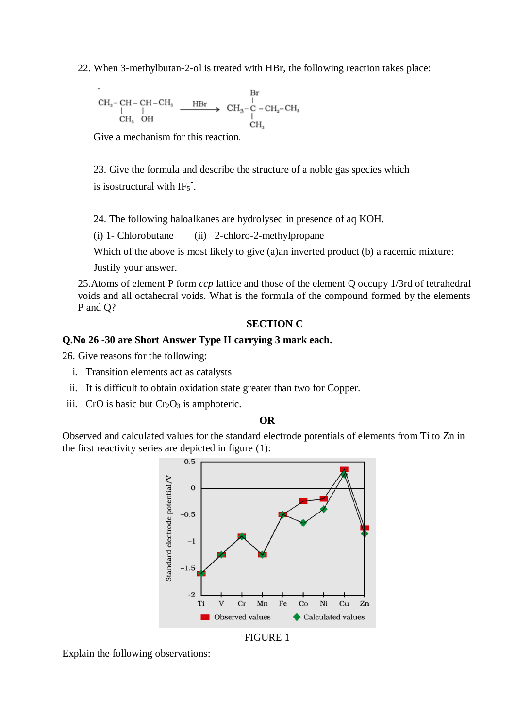22. When 3-methylbutan-2-ol is treated with HBr, the following reaction takes place:

$$
\begin{array}{ccc}\n\text{CH}_3-\text{CH}-\text{CH}-\text{CH}_3 & \xrightarrow{\text{HBr}} & \text{CH}_3-\text{CH}_2-\text{CH}_3\\
\downarrow & | & & \downarrow\\
\text{CH}_3 & \text{OH} & & & \downarrow\\
\text{CH}_3 & & & & \text{CH}_3\\
\end{array}
$$

Give a mechanism for this reaction.

23. Give the formula and describe the structure of a noble gas species which is isostructural with IF<sup>5</sup> **-** .

24. The following haloalkanes are hydrolysed in presence of aq KOH.

(i) 1- Chlorobutane (ii) 2-chloro-2-methylpropane

Which of the above is most likely to give (a)an inverted product (b) a racemic mixture:

Justify your answer.

25.Atoms of element P form *ccp* lattice and those of the element Q occupy 1/3rd of tetrahedral voids and all octahedral voids. What is the formula of the compound formed by the elements P and Q?

#### **SECTION C**

## **Q.No 26 -30 are Short Answer Type II carrying 3 mark each.**

26. Give reasons for the following:

- i. Transition elements act as catalysts
- ii. It is difficult to obtain oxidation state greater than two for Copper.
- iii. CrO is basic but  $Cr<sub>2</sub>O<sub>3</sub>$  is amphoteric.

**OR**

Observed and calculated values for the standard electrode potentials of elements from Ti to Zn in the first reactivity series are depicted in figure (1):



Explain the following observations: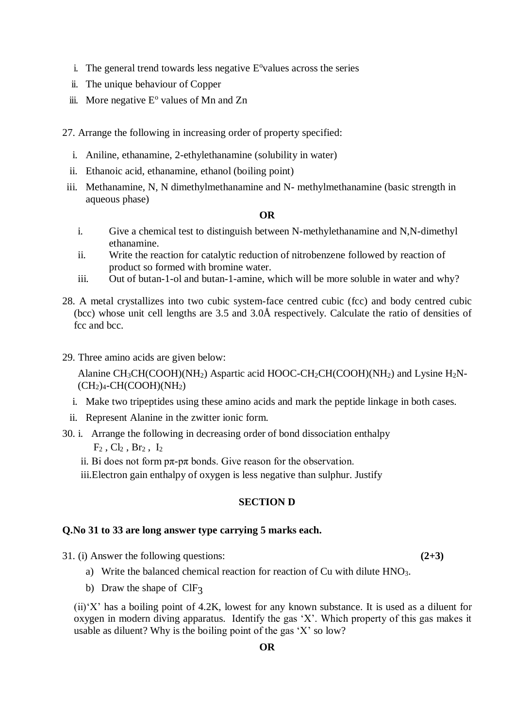- i. The general trend towards less negative  $E^{\circ}$ values across the series
- ii. The unique behaviour of Copper
- iii. More negative  $E^{\circ}$  values of Mn and Zn

27. Arrange the following in increasing order of property specified:

- i. Aniline, ethanamine, 2-ethylethanamine (solubility in water)
- ii. Ethanoic acid, ethanamine, ethanol (boiling point)
- iii. Methanamine, N, N dimethylmethanamine and N- methylmethanamine (basic strength in aqueous phase)

## **OR**

- i. Give a chemical test to distinguish between N-methylethanamine and N,N-dimethyl ethanamine.
- ii. Write the reaction for catalytic reduction of nitrobenzene followed by reaction of product so formed with bromine water.
- iii. Out of butan-1-ol and butan-1-amine, which will be more soluble in water and why?
- 28. A metal crystallizes into two cubic system-face centred cubic (fcc) and body centred cubic (bcc) whose unit cell lengths are 3.5 and 3.0Å respectively. Calculate the ratio of densities of fcc and bcc.
- 29. Three amino acids are given below:

Alanine  $CH_3CH(COOH)(NH_2)$  Aspartic acid HOOC-CH<sub>2</sub>CH(COOH)(NH<sub>2</sub>) and Lysine H<sub>2</sub>N- $(CH<sub>2</sub>)<sub>4</sub>-CH(COOH)(NH<sub>2</sub>)$ 

- i. Make two tripeptides using these amino acids and mark the peptide linkage in both cases.
- ii. Represent Alanine in the zwitter ionic form.
- 30. i. Arrange the following in decreasing order of bond dissociation enthalpy  $F_2$ ,  $Cl_2$ ,  $Br_2$ ,  $I_2$ 
	- ii. Bi does not form  $p\pi$ - $p\pi$  bonds. Give reason for the observation.
	- iii.Electron gain enthalpy of oxygen is less negative than sulphur. Justify

#### **SECTION D**

#### **Q.No 31 to 33 are long answer type carrying 5 marks each.**

31. (i) Answer the following questions: **(2+3)**

- a) Write the balanced chemical reaction for reaction of Cu with dilute HNO<sub>3</sub>.
- b) Draw the shape of  $CIF<sub>3</sub>$

(ii)'X' has a boiling point of 4.2K, lowest for any known substance. It is used as a diluent for oxygen in modern diving apparatus. Identify the gas 'X'. Which property of this gas makes it usable as diluent? Why is the boiling point of the gas 'X' so low?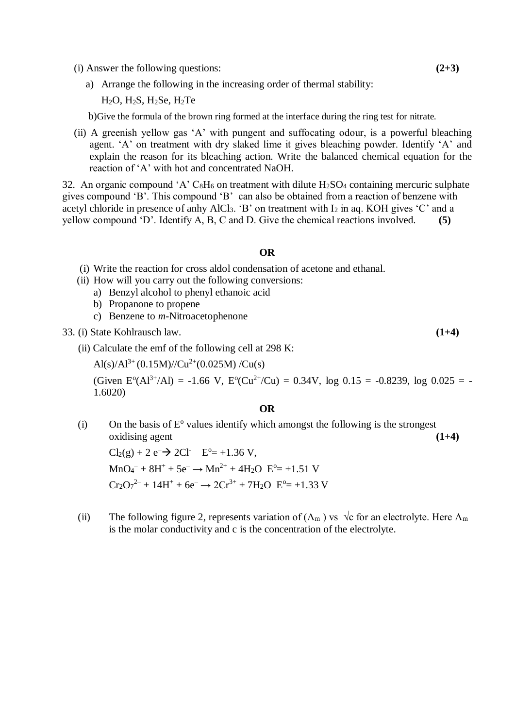- (i) Answer the following questions: **(2+3)**
	- a) Arrange the following in the increasing order of thermal stability:

 $H_2O$ ,  $H_2S$ ,  $H_2Se$ ,  $H_2Te$ 

b)Give the formula of the brown ring formed at the interface during the ring test for nitrate.

(ii) A greenish yellow gas 'A' with pungent and suffocating odour, is a powerful bleaching agent. 'A' on treatment with dry slaked lime it gives bleaching powder. Identify 'A' and explain the reason for its bleaching action. Write the balanced chemical equation for the reaction of 'A' with hot and concentrated NaOH.

32. An organic compound 'A'  $C_8H_6$  on treatment with dilute  $H_2SO_4$  containing mercuric sulphate gives compound 'B'. This compound 'B' can also be obtained from a reaction of benzene with acetyl chloride in presence of anhy AlCl<sub>3</sub>. 'B' on treatment with  $I_2$  in aq. KOH gives 'C' and a yellow compound 'D'. Identify A, B, C and D. Give the chemical reactions involved. **(5)**

#### **OR**

- (i) Write the reaction for cross aldol condensation of acetone and ethanal.
- (ii) How will you carry out the following conversions:
	- a) Benzyl alcohol to phenyl ethanoic acid
	- b) Propanone to propene
	- c) Benzene to *m*-Nitroacetophenone
- 33. (i) State Kohlrausch law. **(1+4)**
	- (ii) Calculate the emf of the following cell at 298 K:

Al(s)/Al<sup>3+</sup> (0.15M)//Cu<sup>2+</sup>(0.025M)/Cu(s)

(Given  $E^{\circ}(Al^{3+}/Al) = -1.66$  V,  $E^{\circ}(Cu^{2+}/Cu) = 0.34$ V,  $log 0.15 = -0.8239$ ,  $log 0.025 = -0.8239$ 1.6020)

#### **OR**

 $(i)$  On the basis of  $E^{\circ}$  values identify which amongst the following is the strongest oxidising agent **(1+4)**

 $Cl_2(g) + 2 e^- \rightarrow 2Cl^ E^0 = +1.36$  V,  $MnO_4^- + 8H^+ + 5e^- \rightarrow Mn^{2+} + 4H_2O$   $E^0 = +1.51$  V  $Cr_2O_7^{2-} + 14H^+ + 6e^- \rightarrow 2Cr^{3+} + 7H_2O$   $E^{\circ} = +1.33$  V

(ii) The following figure 2, represents variation of  $(\Lambda_m)$  vs  $\sqrt{c}$  for an electrolyte. Here  $\Lambda_m$ is the molar conductivity and c is the concentration of the electrolyte.